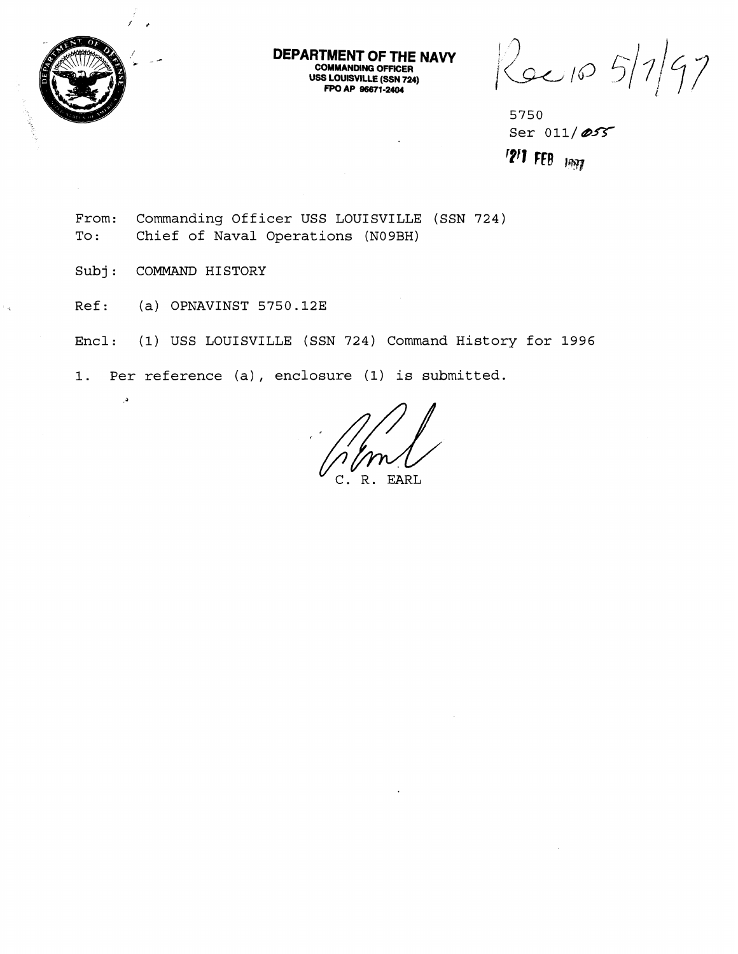

**DEPARTMENT OF THE NAVY COMMANDING OFFICER USS LOUISVILLE (SSN 724) FPO AP 96671-2404** 

 $5/1/97$  $k$ ec 10

**5750**  Ser 011/055 **'?'l RB jq** 

**From: Commanding Officer USS LOUISVILLE (SSN 724) To** : **Chief of Naval Operations (N09BH)** 

**Subj** : **COMMAND HISTORY** 

 $\lambda$ 

**Ref:** (a) **OPNAVINST 5750.123** 

**Encl: (1) USS LOUISVILLE (SSN 724) Command History for 1996** 

**1. Per reference (a)** , **enclosure (1) is submitted.** 

EARL  $R$ .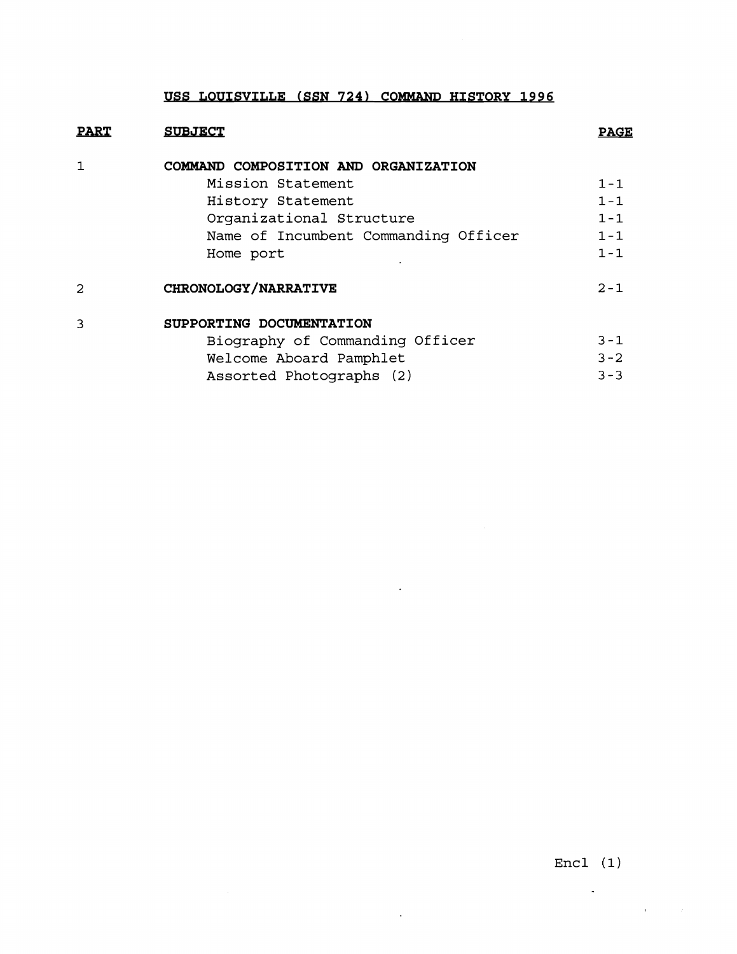## USS LOUISVILLE (SSN 724) COMMAND HISTORY 1996

| <b>PART</b>  | <b>SUBJECT</b>                       | <b>PAGE</b> |
|--------------|--------------------------------------|-------------|
|              | COMMAND COMPOSITION AND ORGANIZATION |             |
|              | Mission Statement                    | $1 - 1$     |
|              | History Statement                    | $1 - 1$     |
|              | Organizational Structure             | $1 - 1$     |
|              | Name of Incumbent Commanding Officer | $1 - 1$     |
|              | Home port                            | $1 - 1$     |
| 2            | CHRONOLOGY/NARRATIVE                 | $2 - 1$     |
| $\mathbf{R}$ | SUPPORTING DOCUMENTATION             |             |
|              | Biography of Commanding Officer      | $3 - 1$     |
|              | Welcome Aboard Pamphlet              | $3 - 2$     |
|              | Assorted Photographs (2)             | $3 - 3$     |

 $\ddot{\phantom{a}}$ 

 $\sim 10^7$ 

 $\mathcal{A}^{\text{max}}_{\text{max}}$ 

Encl **(1)** 

 $\sim 10^{-11}$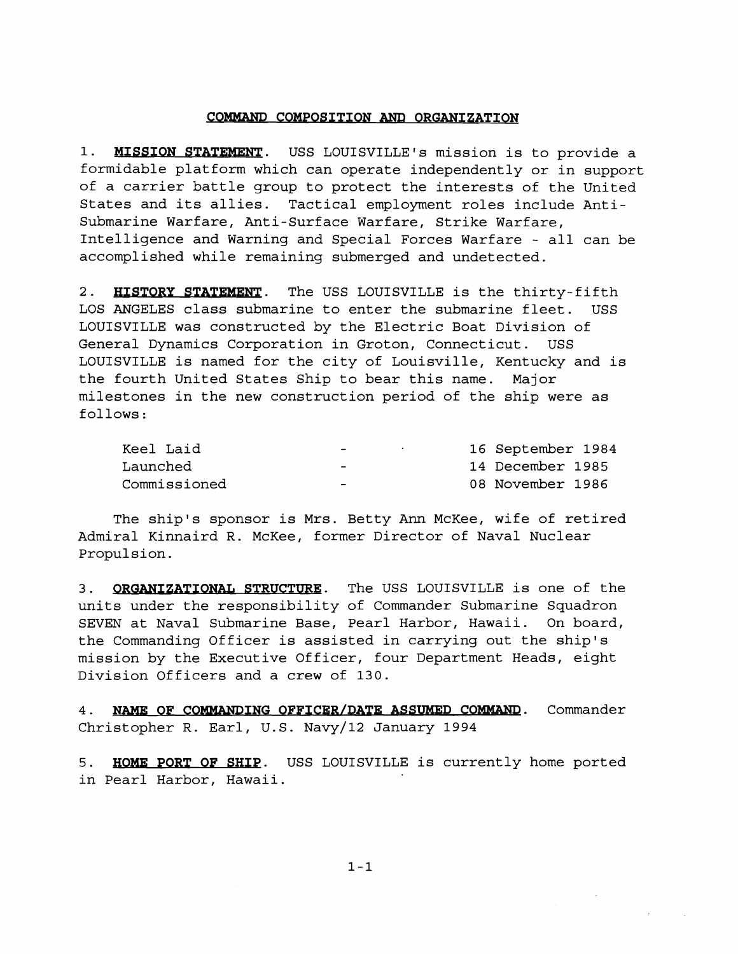## COMMAND COMPOSITION AND ORGANIZATION

1. MISSION STATEMENT. USS LOUISVILLE's mission is to provide a formidable platform which can operate independently or in support of a carrier battle group to protect the interests of the United States and its allies. Tactical employment roles include Antisubmarine Warfare, Anti-Surface Warfare, Strike Warfare, Intelligence and Warning and Special Forces Warfare - all can be accomplished while remaining submerged and undetected.

2. HISTORY STATEMENT. The USS LOUISVILLE is the thirty-fifth LOS ANGELES class submarine to enter the submarine fleet. USS LOUISVILLE was constructed by the Electric Boat Division of General Dynamics Corporation in Groton, Connecticut. USS LOUISVILLE is named for the city of Louisville, Kentucky and is the fourth United States Ship to bear this name. Major milestones in the new construction period of the ship were as follows :

| Keel Laid    | $\overline{\phantom{0}}$ | 16 September 1984 |
|--------------|--------------------------|-------------------|
| Launched     | $\overline{\phantom{0}}$ | 14 December 1985  |
| Commissioned | $\overline{\phantom{0}}$ | 08 November 1986  |

The ship's sponsor is Mrs. Betty Ann McKee, wife of retired Admiral Kinnaird R. McKee, former Director of Naval Nuclear Propulsion.

3. **ORGANIZATIONAL STRUCTURE**. The USS LOUISVILLE is one of the units under the responsibility of Commander Submarine Squadron SEVEN at Naval Submarine Base, Pearl Harbor, Hawaii. On board, the Commanding Officer is assisted in carrying out the ship's mission by the Executive Officer, four Department Heads, eight Division Officers and a crew of 130.

4. NAME OF COMMANDING OFFICER/DATE ASSUMED COMMAND. Commander Christopher **R.** Earl, U.S. Navy/l2 January 1994

**5. HOME PORT OF SHIP.** USS LOUISVILLE is currently home ported in Pearl Harbor, Hawaii.